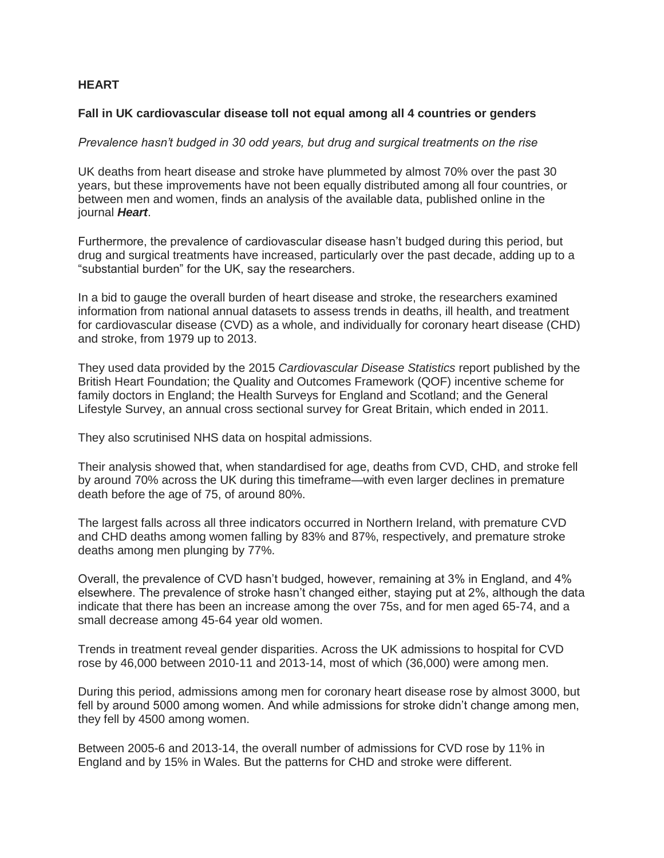## **HEART**

## **Fall in UK cardiovascular disease toll not equal among all 4 countries or genders**

*Prevalence hasn't budged in 30 odd years, but drug and surgical treatments on the rise*

UK deaths from heart disease and stroke have plummeted by almost 70% over the past 30 years, but these improvements have not been equally distributed among all four countries, or between men and women, finds an analysis of the available data, published online in the journal *Heart*.

Furthermore, the prevalence of cardiovascular disease hasn't budged during this period, but drug and surgical treatments have increased, particularly over the past decade, adding up to a "substantial burden" for the UK, say the researchers.

In a bid to gauge the overall burden of heart disease and stroke, the researchers examined information from national annual datasets to assess trends in deaths, ill health, and treatment for cardiovascular disease (CVD) as a whole, and individually for coronary heart disease (CHD) and stroke, from 1979 up to 2013.

They used data provided by the 2015 *Cardiovascular Disease Statistics* report published by the British Heart Foundation; the Quality and Outcomes Framework (QOF) incentive scheme for family doctors in England; the Health Surveys for England and Scotland; and the General Lifestyle Survey, an annual cross sectional survey for Great Britain, which ended in 2011.

They also scrutinised NHS data on hospital admissions.

Their analysis showed that, when standardised for age, deaths from CVD, CHD, and stroke fell by around 70% across the UK during this timeframe—with even larger declines in premature death before the age of 75, of around 80%.

The largest falls across all three indicators occurred in Northern Ireland, with premature CVD and CHD deaths among women falling by 83% and 87%, respectively, and premature stroke deaths among men plunging by 77%.

Overall, the prevalence of CVD hasn't budged, however, remaining at 3% in England, and 4% elsewhere. The prevalence of stroke hasn't changed either, staying put at 2%, although the data indicate that there has been an increase among the over 75s, and for men aged 65-74, and a small decrease among 45-64 year old women.

Trends in treatment reveal gender disparities. Across the UK admissions to hospital for CVD rose by 46,000 between 2010-11 and 2013-14, most of which (36,000) were among men.

During this period, admissions among men for coronary heart disease rose by almost 3000, but fell by around 5000 among women. And while admissions for stroke didn't change among men, they fell by 4500 among women.

Between 2005-6 and 2013-14, the overall number of admissions for CVD rose by 11% in England and by 15% in Wales. But the patterns for CHD and stroke were different.